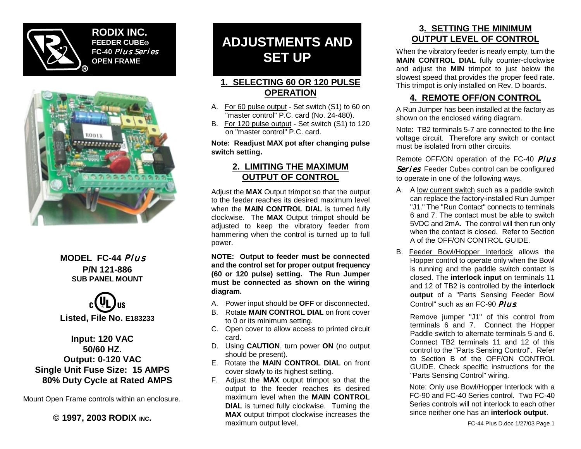

**RODIX INC. FEEDER CUBE FC-40** *Plus Series* **OPEN FRAME**



#### **MODEL FC-44** *Plus* **P/N 121-886 SUB PANEL MOUNT**



#### **Input: 120 VAC 50/60 HZ. Output: 0-120 VAC Single Unit Fuse Size: 15 AMPS 80% Duty Cycle at Rated AMPS**

Mount Open Frame controls within an enclosure.

**© 1997, 2003 RODIX INC.**

# **ADJUSTMENTS AND SET UP**

#### **1. SELECTING 60 OR 120 PULSE OPERATION**

- A. For 60 pulse output Set switch (S1) to 60 on "master control" P.C. card (No. 24-480).
- B. For 120 pulse output Set switch (S1) to 120 on "master control" P.C. card.

**Note: Readjust MAX pot after changing pulse switch setting.**

#### **2. LIMITING THE MAXIMUM OUTPUT OF CONTROL**

Adjust the **MAX** Output trimpot so that the output to the feeder reaches its desired maximum level when the **MAIN CONTROL DIAL** is turned fully clockwise. The **MAX** Output trimpot should be adjusted to keep the vibratory feeder from hammering when the control is turned up to full power.

**NOTE: Output to feeder must be connected and the control set for proper output frequency (60 or 120 pulse) setting. The Run Jumper must be connected as shown on the wiring diagram.**

- A. Power input should be **OFF** or disconnected.
- B. Rotate **MAIN CONTROL DIAL** on front cover to 0 or its minimum setting.
- C. Open cover to allow access to printed circuit card.
- D. Using **CAUTION**, turn power **ON** (no output should be present).
- E. Rotate the **MAIN CONTROL DIAL** on front cover slowly to its highest setting.
- F. Adjust the **MAX** output trimpot so that the output to the feeder reaches its desired maximum level when the **MAIN CONTROL DIAL** is turned fully clockwise. Turning the **MAX** output trimpot clockwise increases the maximum output level.

#### **3. SETTING THE MINIMUM OUTPUT LEVEL OF CONTROL**

When the vibratory feeder is nearly empty, turn the **MAIN CONTROL DIAL** fully counter-clockwise and adjust the **MIN** trimpot to just below the slowest speed that provides the proper feed rate. This trimpot is only installed on Rev. D boards.

#### **4. REMOTE OFF/ON CONTROL**

A Run Jumper has been installed at the factory as shown on the enclosed wiring diagram.

Note: TB2 terminals 5-7 are connected to the line voltage circuit. Therefore any switch or contact must be isolated from other circuits.

Remote OFF/ON operation of the FC-40 *Plus Series* Feeder Cube ® control can be configured to operate in one of the following ways.

- A. A low current switch such as a paddle switch can replace the factory-installed Run Jumper "J1." The "Run Contact" connects to terminals 6 and 7. The contact must be able to switch 5VDC and 2mA. The control will then run only when the contact is closed. Refer to Section A of the OFF/ON CONTROL GUIDE.
- B. Feeder Bowl/Hopper Interlock allows the Hopper control to operate only when the Bowl is running and the paddle switch contact is closed. The **interlock input** on terminals 11 and 12 of TB2 is controlled by the **interlock output** of a "Parts Sensing Feeder Bowl Control" such as an FC-90 *Plus*.

Remove jumper "J1" of this control from terminals 6 and 7. Connect the Hopper Paddle switch to alternate terminals 5 and 6. Connect TB2 terminals 11 and 12 of this control to the "Parts Sensing Control". Refer to Section B of the OFF/ON CONTROL GUIDE. Check specific instructions for the "Parts Sensing Control" wiring.

Note: Only use Bowl/Hopper Interlock with a FC-90 and FC-40 Series control. Two FC-40 Series controls will not interlock to each other since neither one has an **interlock output**.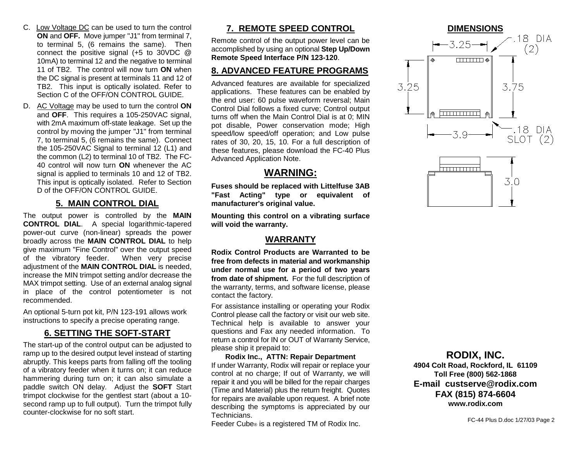- C. Low Voltage DC can be used to turn the control **ON** and **OFF.** Move jumper "J1" from terminal 7, to terminal 5, (6 remains the same). Then connect the positive signal (+5 to 30VDC @ 10mA) to terminal 12 and the negative to terminal 11 of TB2. The control will now turn **ON** when the DC signal is present at terminals 11 and 12 of TB2. This input is optically isolated. Refer to Section C of the OFF/ON CONTROL GUIDE.
- D. AC Voltage may be used to turn the control **ON** and **OFF**. This requires a 105-250VAC signal, with 2mA maximum off-state leakage. Set up the control by moving the jumper "J1" from terminal 7, to terminal 5, (6 remains the same). Connect the 105-250VAC Signal to terminal 12 (L1) and the common (L2) to terminal 10 of TB2. The FC-40 control will now turn **ON** whenever the AC signal is applied to terminals 10 and 12 of TB2. This input is optically isolated. Refer to Section D of the OFF/ON CONTROL GUIDE.

#### **5. MAIN CONTROL DIAL**

The output power is controlled by the **MAIN CONTROL DIAL**. A special logarithmic-tapered power-out curve (non-linear) spreads the power broadly across the **MAIN CONTROL DIAL** to help give maximum "Fine Control" over the output speed of the vibratory feeder. When very precise adjustment of the **MAIN CONTROL DIAL** is needed, increase the MIN trimpot setting and/or decrease the MAX trimpot setting. Use of an external analog signal in place of the control potentiometer is not recommended.

An optional 5-turn pot kit, P/N 123-191 allows work instructions to specify a precise operating range.

#### **6. SETTING THE SOFT-START**

The start-up of the control output can be adjusted to ramp up to the desired output level instead of starting abruptly. This keeps parts from falling off the tooling of a vibratory feeder when it turns on; it can reduce hammering during turn on; it can also simulate a paddle switch ON delay. Adjust the **SOFT** Start trimpot clockwise for the gentlest start (about a 10 second ramp up to full output). Turn the trimpot fully counter-clockwise for no soft start.

#### **7. REMOTE SPEED CONTROL**

Remote control of the output power level can be accomplished by using an optional **Step Up/Down Remote Speed Interface P/N 123-120**.

#### **8. ADVANCED FEATURE PROGRAMS**

Advanced features are available for specialized applications. These features can be enabled by the end user: 60 pulse waveform reversal; Main Control Dial follows a fixed curve; Control output turns off when the Main Control Dial is at 0; MIN pot disable, Power conservation mode; High speed/low speed/off operation; and Low pulse rates of 30, 20, 15, 10. For a full description of these features, please download the FC-40 Plus Advanced Application Note.

#### **WARNING:**

**Fuses should be replaced with Littelfuse 3AB "Fast Acting" type or equivalent of manufacturer's original value.**

**Mounting this control on a vibrating surface will void the warranty.**

#### **WARRANTY**

**Rodix Control Products are Warranted to be free from defects in material and workmanship under normal use for a period of two years from date of shipment.** For the full description of the warranty, terms, and software license, please contact the factory.

For assistance installing or operating your Rodix Control please call the factory or visit our web site. Technical help is available to answer your questions and Fax any needed information. To return a control for IN or OUT of Warranty Service, please ship it prepaid to:

#### **Rodix Inc., ATTN: Repair Department** If under Warranty, Rodix will repair or replace your control at no charge; If out of Warranty, we will repair it and you will be billed for the repair charges (Time and Material) plus the return freight. Quotes for repairs are available upon request. A brief note describing the symptoms is appreciated by our Technicians.

Feeder Cube ® is a registered TM of Rodix Inc.





#### **RODIX, INC.**

**4904 Colt Road, Rockford, IL 61109 Toll Free (800) 562-1868 E-mail custserve@rodix.com FAX (815) 874-6604 www.rodix.com**

FC-44 Plus D.doc 1/27/03 Page 2